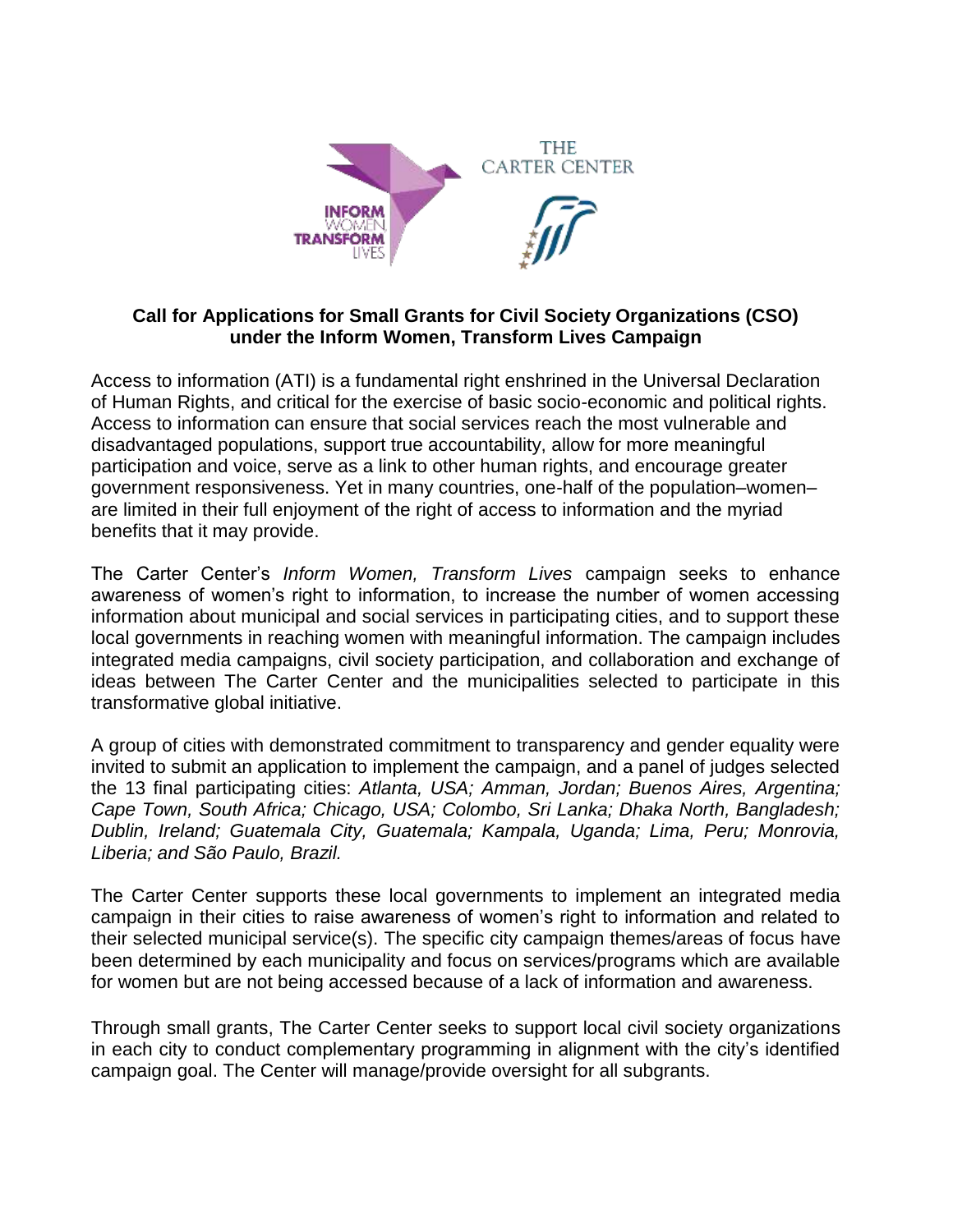

#### **Call for Applications for Small Grants for Civil Society Organizations (CSO) under the Inform Women, Transform Lives Campaign**

Access to information (ATI) is a fundamental right enshrined in the Universal Declaration of Human Rights, and critical for the exercise of basic socio-economic and political rights. Access to information can ensure that social services reach the most vulnerable and disadvantaged populations, support true accountability, allow for more meaningful participation and voice, serve as a link to other human rights, and encourage greater government responsiveness. Yet in many countries, one-half of the population–women– are limited in their full enjoyment of the right of access to information and the myriad benefits that it may provide.

The Carter Center's *Inform Women, Transform Lives* campaign seeks to enhance awareness of women's right to information, to increase the number of women accessing information about municipal and social services in participating cities, and to support these local governments in reaching women with meaningful information. The campaign includes integrated media campaigns, civil society participation, and collaboration and exchange of ideas between The Carter Center and the municipalities selected to participate in this transformative global initiative.

A group of cities with demonstrated commitment to transparency and gender equality were invited to submit an application to implement the campaign, and a panel of judges selected the 13 final participating cities: *Atlanta, USA; Amman, Jordan; Buenos Aires, Argentina; Cape Town, South Africa; Chicago, USA; Colombo, Sri Lanka; Dhaka North, Bangladesh; Dublin, Ireland; Guatemala City, Guatemala; Kampala, Uganda; Lima, Peru; Monrovia, Liberia; and São Paulo, Brazil.*

The Carter Center supports these local governments to implement an integrated media campaign in their cities to raise awareness of women's right to information and related to their selected municipal service(s). The specific city campaign themes/areas of focus have been determined by each municipality and focus on services/programs which are available for women but are not being accessed because of a lack of information and awareness.

Through small grants, The Carter Center seeks to support local civil society organizations in each city to conduct complementary programming in alignment with the city's identified campaign goal. The Center will manage/provide oversight for all subgrants.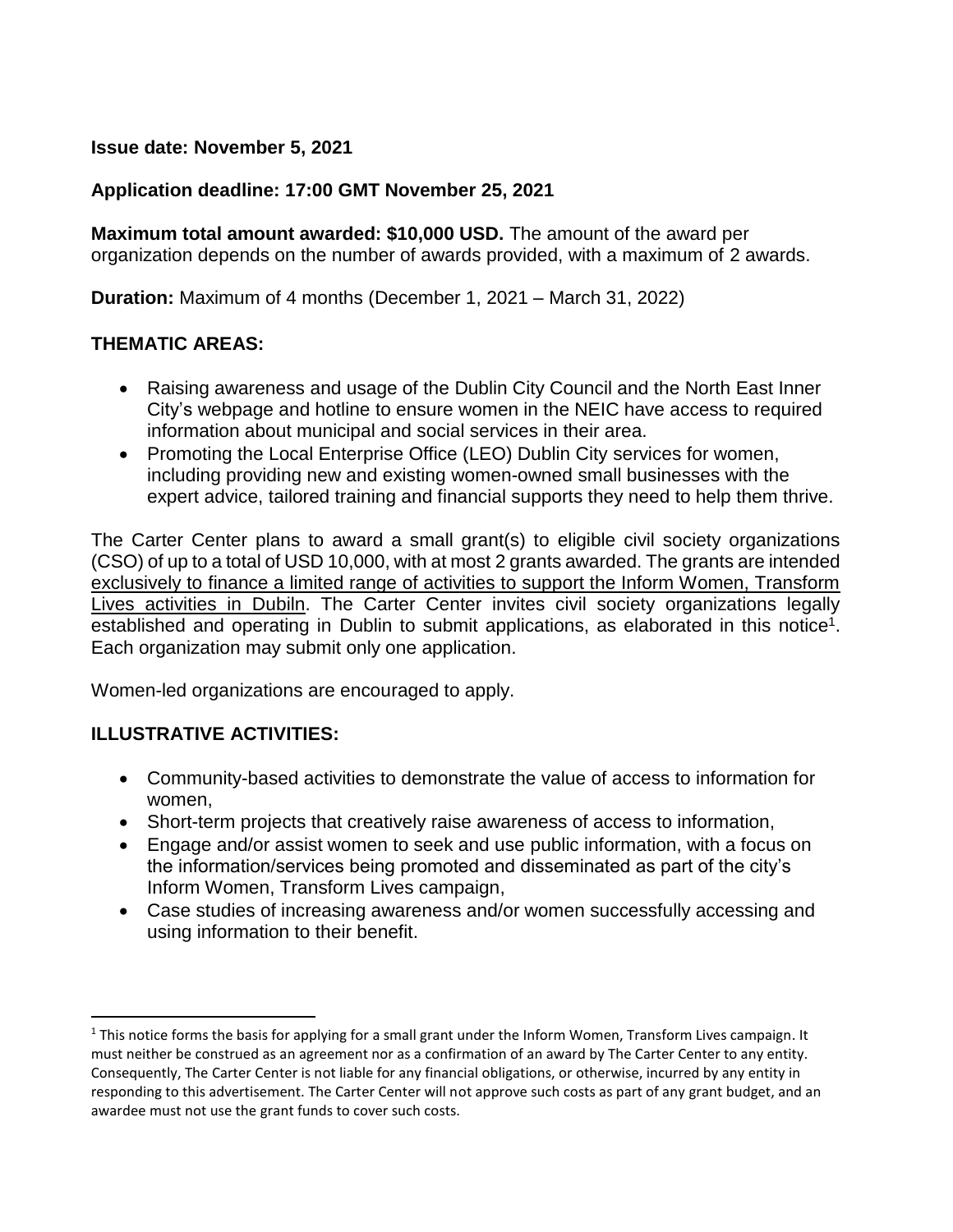#### **Issue date: November 5, 2021**

#### **Application deadline: 17:00 GMT November 25, 2021**

**Maximum total amount awarded: \$10,000 USD.** The amount of the award per organization depends on the number of awards provided, with a maximum of 2 awards.

**Duration:** Maximum of 4 months (December 1, 2021 – March 31, 2022)

#### **THEMATIC AREAS:**

- Raising awareness and usage of the Dublin City Council and the North East Inner City's webpage and hotline to ensure women in the NEIC have access to required information about municipal and social services in their area.
- Promoting the Local Enterprise Office (LEO) Dublin City services for women, including providing new and existing women-owned small businesses with the expert advice, tailored training and financial supports they need to help them thrive.

The Carter Center plans to award a small grant(s) to eligible civil society organizations (CSO) of up to a total of USD 10,000, with at most 2 grants awarded. The grants are intended exclusively to finance a limited range of activities to support the Inform Women, Transform Lives activities in Dubiln. The Carter Center invites civil society organizations legally established and operating in Dublin to submit applications, as elaborated in this notice<sup>1</sup>. Each organization may submit only one application.

Women-led organizations are encouraged to apply.

### **ILLUSTRATIVE ACTIVITIES:**

 $\overline{\phantom{a}}$ 

- Community-based activities to demonstrate the value of access to information for women,
- Short-term projects that creatively raise awareness of access to information,
- Engage and/or assist women to seek and use public information, with a focus on the information/services being promoted and disseminated as part of the city's Inform Women, Transform Lives campaign,
- Case studies of increasing awareness and/or women successfully accessing and using information to their benefit.

 $1$  This notice forms the basis for applying for a small grant under the Inform Women, Transform Lives campaign. It must neither be construed as an agreement nor as a confirmation of an award by The Carter Center to any entity. Consequently, The Carter Center is not liable for any financial obligations, or otherwise, incurred by any entity in responding to this advertisement. The Carter Center will not approve such costs as part of any grant budget, and an awardee must not use the grant funds to cover such costs.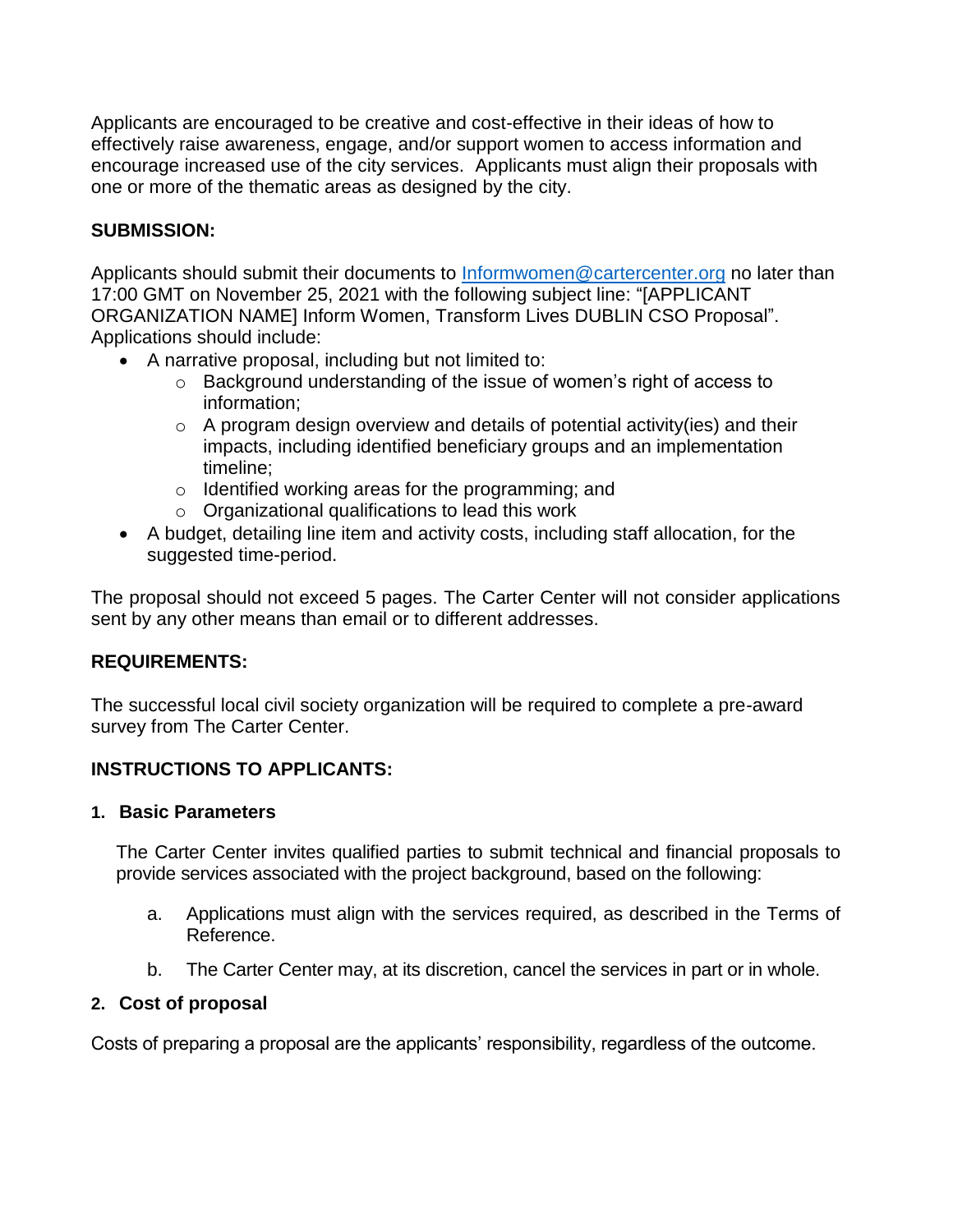Applicants are encouraged to be creative and cost-effective in their ideas of how to effectively raise awareness, engage, and/or support women to access information and encourage increased use of the city services. Applicants must align their proposals with one or more of the thematic areas as designed by the city.

# **SUBMISSION:**

Applicants should submit their documents to [Informwomen@cartercenter.org](mailto:Informwomen@cartercenter.org) no later than 17:00 GMT on November 25, 2021 with the following subject line: "[APPLICANT ORGANIZATION NAME] Inform Women, Transform Lives DUBLIN CSO Proposal". Applications should include:

- A narrative proposal, including but not limited to:
	- o Background understanding of the issue of women's right of access to information;
	- $\circ$  A program design overview and details of potential activity(ies) and their impacts, including identified beneficiary groups and an implementation timeline;
	- o Identified working areas for the programming; and
	- o Organizational qualifications to lead this work
- A budget, detailing line item and activity costs, including staff allocation, for the suggested time-period.

The proposal should not exceed 5 pages. The Carter Center will not consider applications sent by any other means than email or to different addresses.

### **REQUIREMENTS:**

The successful local civil society organization will be required to complete a pre-award survey from The Carter Center.

# **INSTRUCTIONS TO APPLICANTS:**

### **1. Basic Parameters**

The Carter Center invites qualified parties to submit technical and financial proposals to provide services associated with the project background, based on the following:

- a. Applications must align with the services required, as described in the Terms of Reference.
- b. The Carter Center may, at its discretion, cancel the services in part or in whole.

### **2. Cost of proposal**

Costs of preparing a proposal are the applicants' responsibility, regardless of the outcome.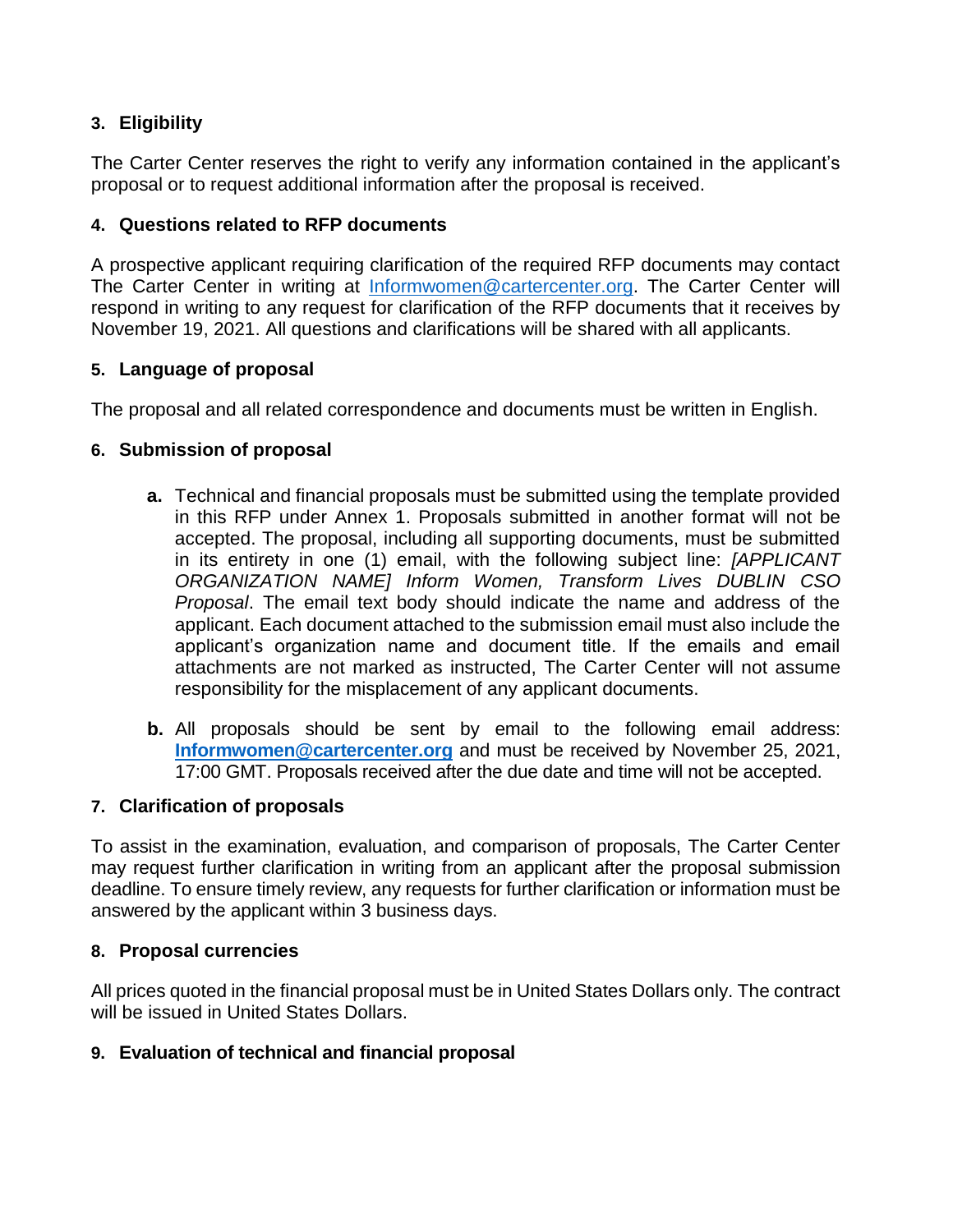## **3. Eligibility**

The Carter Center reserves the right to verify any information contained in the applicant's proposal or to request additional information after the proposal is received.

## **4. Questions related to RFP documents**

A prospective applicant requiring clarification of the required RFP documents may contact The Carter Center in writing at [Informwomen@cartercenter.org.](mailto:Informwomen@cartercenter.org) The Carter Center will respond in writing to any request for clarification of the RFP documents that it receives by November 19, 2021. All questions and clarifications will be shared with all applicants.

# **5. Language of proposal**

The proposal and all related correspondence and documents must be written in English.

### **6. Submission of proposal**

- **a.** Technical and financial proposals must be submitted using the template provided in this RFP under Annex 1. Proposals submitted in another format will not be accepted. The proposal, including all supporting documents, must be submitted in its entirety in one (1) email, with the following subject line: *[APPLICANT ORGANIZATION NAME] Inform Women, Transform Lives DUBLIN CSO Proposal*. The email text body should indicate the name and address of the applicant. Each document attached to the submission email must also include the applicant's organization name and document title. If the emails and email attachments are not marked as instructed, The Carter Center will not assume responsibility for the misplacement of any applicant documents.
- **b.** All proposals should be sent by email to the following email address: **[Informwomen@cartercenter.org](mailto:Informwomen@cartercenter.org)** and must be received by November 25, 2021, 17:00 GMT. Proposals received after the due date and time will not be accepted.

### **7. Clarification of proposals**

To assist in the examination, evaluation, and comparison of proposals, The Carter Center may request further clarification in writing from an applicant after the proposal submission deadline. To ensure timely review, any requests for further clarification or information must be answered by the applicant within 3 business days.

### **8. Proposal currencies**

All prices quoted in the financial proposal must be in United States Dollars only. The contract will be issued in United States Dollars.

### **9. Evaluation of technical and financial proposal**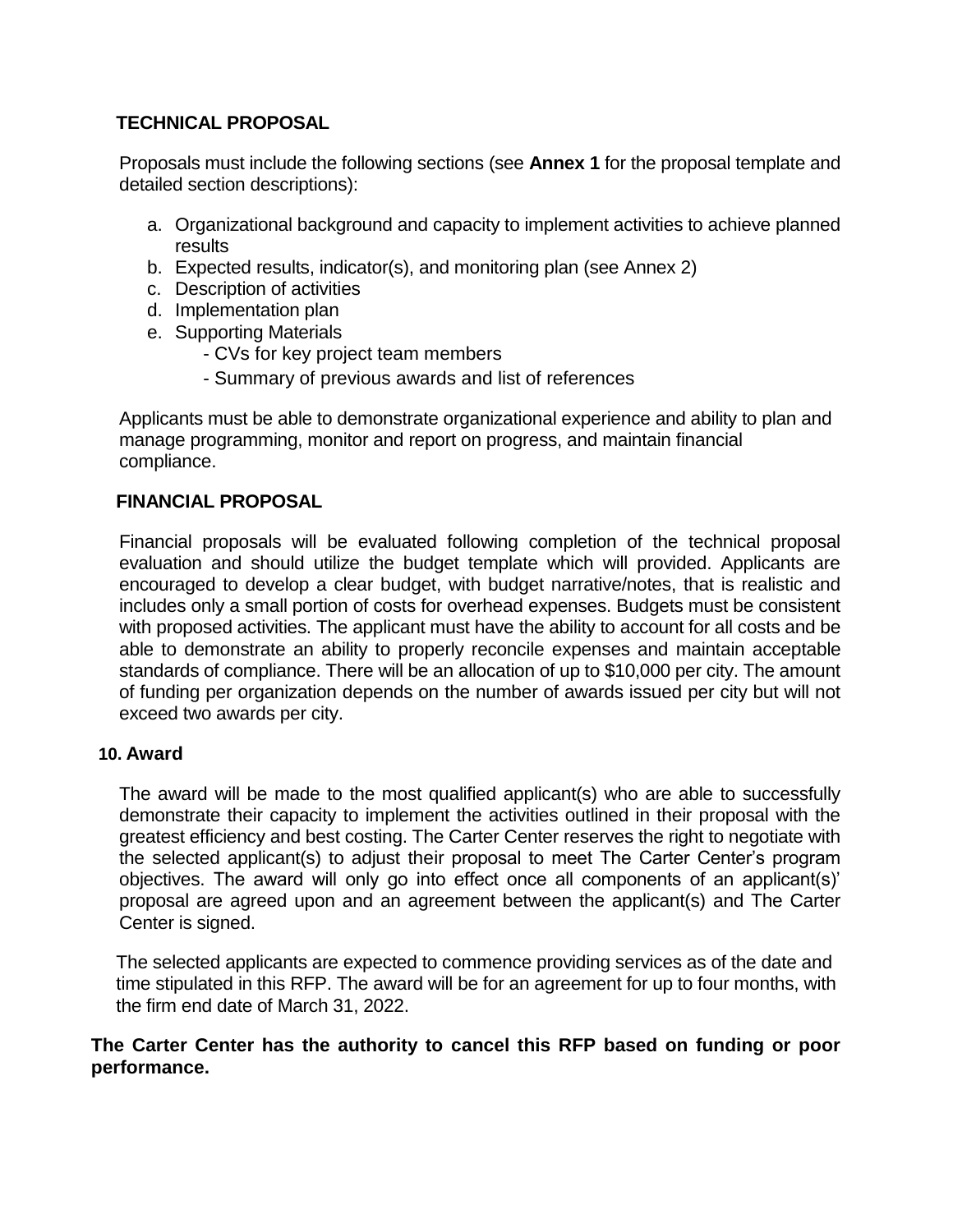### **TECHNICAL PROPOSAL**

Proposals must include the following sections (see **Annex 1** for the proposal template and detailed section descriptions):

- a. Organizational background and capacity to implement activities to achieve planned results
- b. Expected results, indicator(s), and monitoring plan (see Annex 2)
- c. Description of activities
- d. Implementation plan
- e. Supporting Materials
	- CVs for key project team members
	- Summary of previous awards and list of references

Applicants must be able to demonstrate organizational experience and ability to plan and manage programming, monitor and report on progress, and maintain financial compliance.

#### **FINANCIAL PROPOSAL**

Financial proposals will be evaluated following completion of the technical proposal evaluation and should utilize the budget template which will provided. Applicants are encouraged to develop a clear budget, with budget narrative/notes, that is realistic and includes only a small portion of costs for overhead expenses. Budgets must be consistent with proposed activities. The applicant must have the ability to account for all costs and be able to demonstrate an ability to properly reconcile expenses and maintain acceptable standards of compliance. There will be an allocation of up to \$10,000 per city. The amount of funding per organization depends on the number of awards issued per city but will not exceed two awards per city.

#### **10. Award**

The award will be made to the most qualified applicant(s) who are able to successfully demonstrate their capacity to implement the activities outlined in their proposal with the greatest efficiency and best costing. The Carter Center reserves the right to negotiate with the selected applicant(s) to adjust their proposal to meet The Carter Center's program objectives. The award will only go into effect once all components of an applicant(s)' proposal are agreed upon and an agreement between the applicant(s) and The Carter Center is signed.

The selected applicants are expected to commence providing services as of the date and time stipulated in this RFP. The award will be for an agreement for up to four months, with the firm end date of March 31, 2022.

#### **The Carter Center has the authority to cancel this RFP based on funding or poor performance.**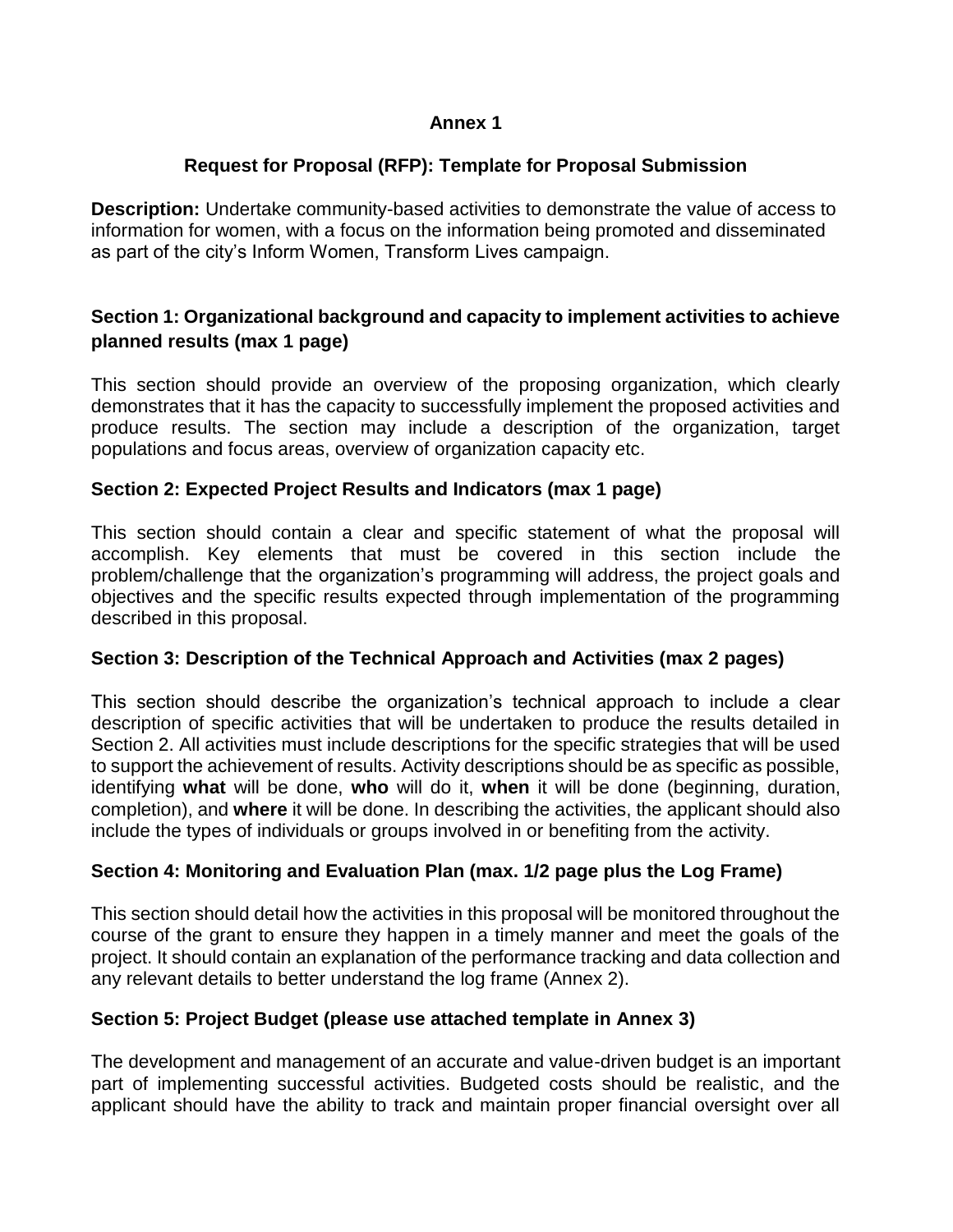#### **Annex 1**

# **Request for Proposal (RFP): Template for Proposal Submission**

**Description:** Undertake community-based activities to demonstrate the value of access to information for women, with a focus on the information being promoted and disseminated as part of the city's Inform Women, Transform Lives campaign.

# **Section 1: Organizational background and capacity to implement activities to achieve planned results (max 1 page)**

This section should provide an overview of the proposing organization, which clearly demonstrates that it has the capacity to successfully implement the proposed activities and produce results. The section may include a description of the organization, target populations and focus areas, overview of organization capacity etc.

### **Section 2: Expected Project Results and Indicators (max 1 page)**

This section should contain a clear and specific statement of what the proposal will accomplish. Key elements that must be covered in this section include the problem/challenge that the organization's programming will address, the project goals and objectives and the specific results expected through implementation of the programming described in this proposal.

### **Section 3: Description of the Technical Approach and Activities (max 2 pages)**

This section should describe the organization's technical approach to include a clear description of specific activities that will be undertaken to produce the results detailed in Section 2. All activities must include descriptions for the specific strategies that will be used to support the achievement of results. Activity descriptions should be as specific as possible, identifying **what** will be done, **who** will do it, **when** it will be done (beginning, duration, completion), and **where** it will be done. In describing the activities, the applicant should also include the types of individuals or groups involved in or benefiting from the activity.

# **Section 4: Monitoring and Evaluation Plan (max. 1/2 page plus the Log Frame)**

This section should detail how the activities in this proposal will be monitored throughout the course of the grant to ensure they happen in a timely manner and meet the goals of the project. It should contain an explanation of the performance tracking and data collection and any relevant details to better understand the log frame (Annex 2).

### **Section 5: Project Budget (please use attached template in Annex 3)**

The development and management of an accurate and value-driven budget is an important part of implementing successful activities. Budgeted costs should be realistic, and the applicant should have the ability to track and maintain proper financial oversight over all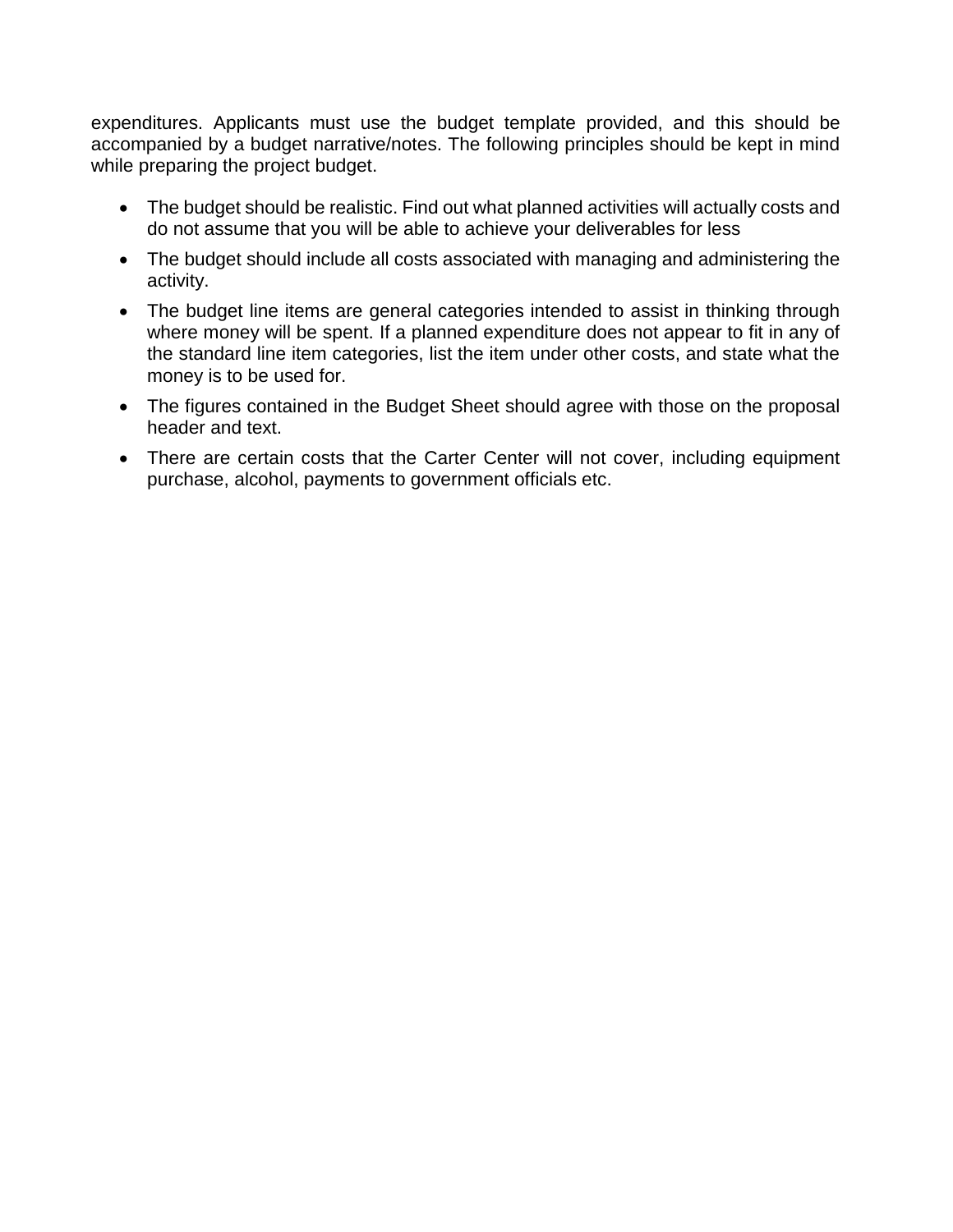expenditures. Applicants must use the budget template provided, and this should be accompanied by a budget narrative/notes. The following principles should be kept in mind while preparing the project budget.

- The budget should be realistic. Find out what planned activities will actually costs and do not assume that you will be able to achieve your deliverables for less
- The budget should include all costs associated with managing and administering the activity.
- The budget line items are general categories intended to assist in thinking through where money will be spent. If a planned expenditure does not appear to fit in any of the standard line item categories, list the item under other costs, and state what the money is to be used for.
- The figures contained in the Budget Sheet should agree with those on the proposal header and text.
- There are certain costs that the Carter Center will not cover, including equipment purchase, alcohol, payments to government officials etc.